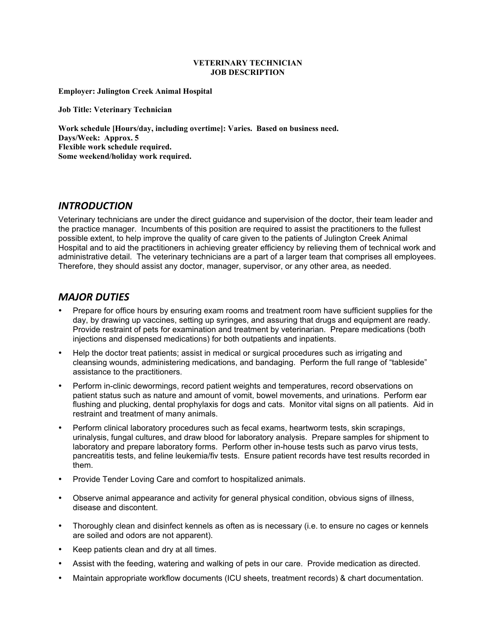#### **VETERINARY TECHNICIAN JOB DESCRIPTION**

**Employer: Julington Creek Animal Hospital**

**Job Title: Veterinary Technician**

**Work schedule [Hours/day, including overtime]: Varies. Based on business need. Days/Week: Approx. 5 Flexible work schedule required. Some weekend/holiday work required.**

### *INTRODUCTION*

Veterinary technicians are under the direct guidance and supervision of the doctor, their team leader and the practice manager. Incumbents of this position are required to assist the practitioners to the fullest possible extent, to help improve the quality of care given to the patients of Julington Creek Animal Hospital and to aid the practitioners in achieving greater efficiency by relieving them of technical work and administrative detail. The veterinary technicians are a part of a larger team that comprises all employees. Therefore, they should assist any doctor, manager, supervisor, or any other area, as needed.

## **MAJOR DUTIES**

- Prepare for office hours by ensuring exam rooms and treatment room have sufficient supplies for the day, by drawing up vaccines, setting up syringes, and assuring that drugs and equipment are ready. Provide restraint of pets for examination and treatment by veterinarian. Prepare medications (both injections and dispensed medications) for both outpatients and inpatients.
- Help the doctor treat patients; assist in medical or surgical procedures such as irrigating and cleansing wounds, administering medications, and bandaging. Perform the full range of "tableside" assistance to the practitioners.
- Perform in-clinic dewormings, record patient weights and temperatures, record observations on patient status such as nature and amount of vomit, bowel movements, and urinations. Perform ear flushing and plucking, dental prophylaxis for dogs and cats. Monitor vital signs on all patients. Aid in restraint and treatment of many animals.
- Perform clinical laboratory procedures such as fecal exams, heartworm tests, skin scrapings, urinalysis, fungal cultures, and draw blood for laboratory analysis. Prepare samples for shipment to laboratory and prepare laboratory forms. Perform other in-house tests such as parvo virus tests, pancreatitis tests, and feline leukemia/fiv tests. Ensure patient records have test results recorded in them.
- Provide Tender Loving Care and comfort to hospitalized animals.
- Observe animal appearance and activity for general physical condition, obvious signs of illness, disease and discontent.
- Thoroughly clean and disinfect kennels as often as is necessary (i.e. to ensure no cages or kennels are soiled and odors are not apparent).
- Keep patients clean and dry at all times.
- Assist with the feeding, watering and walking of pets in our care. Provide medication as directed.
- Maintain appropriate workflow documents (ICU sheets, treatment records) & chart documentation.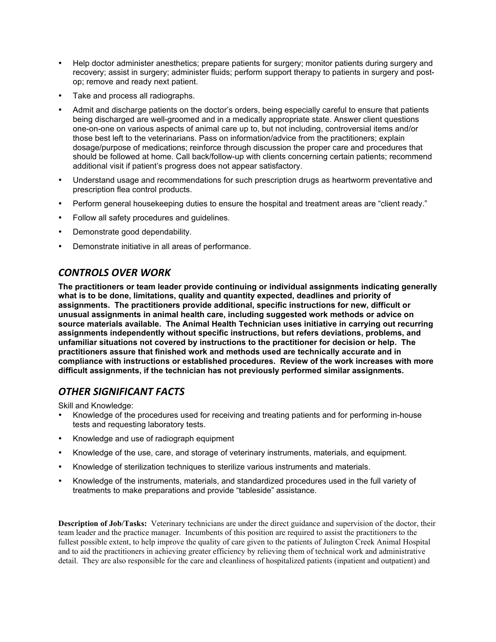- Help doctor administer anesthetics; prepare patients for surgery; monitor patients during surgery and recovery; assist in surgery; administer fluids; perform support therapy to patients in surgery and postop; remove and ready next patient.
- Take and process all radiographs.
- Admit and discharge patients on the doctor's orders, being especially careful to ensure that patients being discharged are well-groomed and in a medically appropriate state. Answer client questions one-on-one on various aspects of animal care up to, but not including, controversial items and/or those best left to the veterinarians. Pass on information/advice from the practitioners; explain dosage/purpose of medications; reinforce through discussion the proper care and procedures that should be followed at home. Call back/follow-up with clients concerning certain patients; recommend additional visit if patient's progress does not appear satisfactory.
- Understand usage and recommendations for such prescription drugs as heartworm preventative and prescription flea control products.
- Perform general housekeeping duties to ensure the hospital and treatment areas are "client ready."
- Follow all safety procedures and guidelines.
- Demonstrate good dependability.
- Demonstrate initiative in all areas of performance.

## *CONTROLS)OVER)WORK*

**The practitioners or team leader provide continuing or individual assignments indicating generally what is to be done, limitations, quality and quantity expected, deadlines and priority of assignments. The practitioners provide additional, specific instructions for new, difficult or unusual assignments in animal health care, including suggested work methods or advice on source materials available. The Animal Health Technician uses initiative in carrying out recurring assignments independently without specific instructions, but refers deviations, problems, and unfamiliar situations not covered by instructions to the practitioner for decision or help. The practitioners assure that finished work and methods used are technically accurate and in compliance with instructions or established procedures. Review of the work increases with more difficult assignments, if the technician has not previously performed similar assignments.** 

# *OTHER)SIGNIFICANT)FACTS*

Skill and Knowledge:

- Knowledge of the procedures used for receiving and treating patients and for performing in-house tests and requesting laboratory tests.
- Knowledge and use of radiograph equipment
- Knowledge of the use, care, and storage of veterinary instruments, materials, and equipment.
- Knowledge of sterilization techniques to sterilize various instruments and materials.
- Knowledge of the instruments, materials, and standardized procedures used in the full variety of treatments to make preparations and provide "tableside" assistance.

**Description of Job/Tasks:** Veterinary technicians are under the direct guidance and supervision of the doctor, their team leader and the practice manager. Incumbents of this position are required to assist the practitioners to the fullest possible extent, to help improve the quality of care given to the patients of Julington Creek Animal Hospital and to aid the practitioners in achieving greater efficiency by relieving them of technical work and administrative detail. They are also responsible for the care and cleanliness of hospitalized patients (inpatient and outpatient) and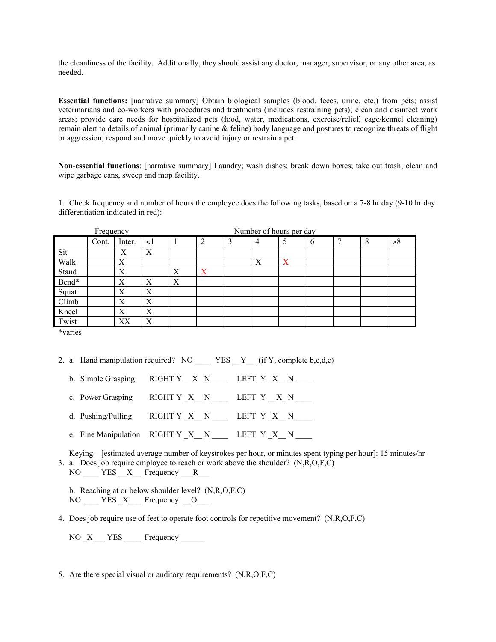the cleanliness of the facility. Additionally, they should assist any doctor, manager, supervisor, or any other area, as needed.

**Essential functions:** [narrative summary] Obtain biological samples (blood, feces, urine, etc.) from pets; assist veterinarians and co-workers with procedures and treatments (includes restraining pets); clean and disinfect work areas; provide care needs for hospitalized pets (food, water, medications, exercise/relief, cage/kennel cleaning) remain alert to details of animal (primarily canine & feline) body language and postures to recognize threats of flight or aggression; respond and move quickly to avoid injury or restrain a pet.

**Non-essential functions**: [narrative summary] Laundry; wash dishes; break down boxes; take out trash; clean and wipe garbage cans, sweep and mop facility.

1. Check frequency and number of hours the employee does the following tasks, based on a 7-8 hr day (9-10 hr day differentiation indicated in red):

| Frequency |       |        |          | Number of hours per day |   |   |                |   |   |  |   |    |
|-----------|-------|--------|----------|-------------------------|---|---|----------------|---|---|--|---|----|
|           | Cont. | Inter. | $\leq$ 1 |                         | ◠ | 3 | $\overline{4}$ | ς | b |  | 8 | >8 |
| Sit       |       | Х      | Χ        |                         |   |   |                |   |   |  |   |    |
| Walk      |       | Х      |          |                         |   |   | Х              | Х |   |  |   |    |
| Stand     |       | X      |          | Χ                       | X |   |                |   |   |  |   |    |
| Bend*     |       | Х      | Χ        | Χ                       |   |   |                |   |   |  |   |    |
| Squat     |       | Х      | Χ        |                         |   |   |                |   |   |  |   |    |
| Climb     |       | X      | X        |                         |   |   |                |   |   |  |   |    |
| Kneel     |       | Х      | X        |                         |   |   |                |   |   |  |   |    |
| Twist     |       | XХ     | Χ        |                         |   |   |                |   |   |  |   |    |

\*varies

2. a. Hand manipulation required? NO \_\_\_\_\_ YES  $Y$  (if Y, complete b,c,d,e)

- b. Simple Grasping RIGHT Y  $X_N$   $N$  LEFT Y  $X_N$   $N$
- c. Power Grasping RIGHT Y  $_X$  N LEFT Y  $_X$  N  $_{\text{N}}$
- d. Pushing/Pulling  $RIGHT Y X N$  LEFT Y X N
- e. Fine Manipulation  $RIGHT Y \ X \ N$  LEFT  $Y \ X \ N$

Keying – [estimated average number of keystrokes per hour, or minutes spent typing per hour]: 15 minutes/hr 3. a. Does job require employee to reach or work above the shoulder? (N,R,O,F,C)

NO YES X Frequency R

b. Reaching at or below shoulder level? (N,R,O,F,C) NO  $YES \ X$  Frequency:  $0$ 

4. Does job require use of feet to operate foot controls for repetitive movement? (N,R,O,F,C)

 $NO\_X$   $YES$   $Frequency$ 

5. Are there special visual or auditory requirements? (N,R,O,F,C)